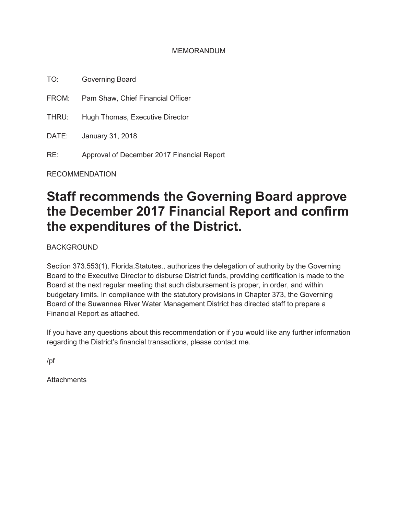#### MEMORANDUM

TO: Governing Board

FROM: Pam Shaw, Chief Financial Officer

THRU: Hugh Thomas, Executive Director

DATE: January 31, 2018

RE: Approval of December 2017 Financial Report

RECOMMENDATION

# **Staff recommends the Governing Board approve the December 2017 Financial Report and confirm the expenditures of the District.**

BACKGROUND

Section 373.553(1), Florida.Statutes., authorizes the delegation of authority by the Governing Board to the Executive Director to disburse District funds, providing certification is made to the Board at the next regular meeting that such disbursement is proper, in order, and within budgetary limits. In compliance with the statutory provisions in Chapter 373, the Governing Board of the Suwannee River Water Management District has directed staff to prepare a Financial Report as attached.

If you have any questions about this recommendation or if you would like any further information regarding the District's financial transactions, please contact me.

/pf

**Attachments**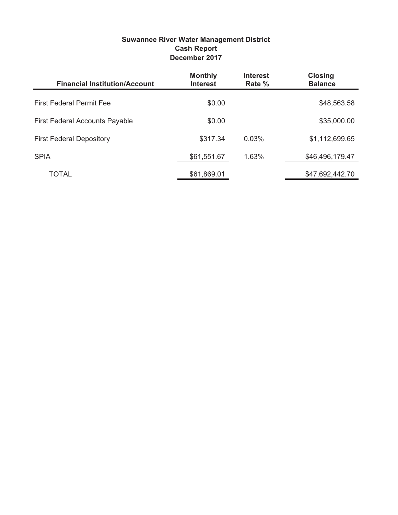| <b>Suwannee River Water Management District</b> |
|-------------------------------------------------|
| <b>Cash Report</b>                              |
| December 2017                                   |

| <b>Financial Institution/Account</b>  | <b>Monthly</b><br><b>Interest</b> | <b>Interest</b><br>Rate % | <b>Closing</b><br><b>Balance</b> |
|---------------------------------------|-----------------------------------|---------------------------|----------------------------------|
| <b>First Federal Permit Fee</b>       | \$0.00                            |                           | \$48,563.58                      |
| <b>First Federal Accounts Payable</b> | \$0.00                            |                           | \$35,000.00                      |
| <b>First Federal Depository</b>       | \$317.34                          | 0.03%                     | \$1,112,699.65                   |
| <b>SPIA</b>                           | \$61,551.67                       | 1.63%                     | \$46,496,179.47                  |
| TOTAL                                 | \$61,869.01                       |                           | \$47,692,442.70                  |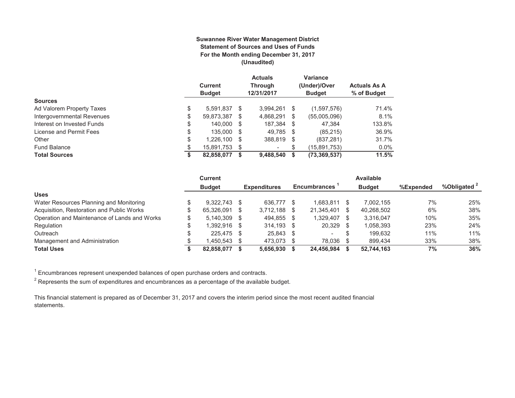#### **Suwannee River Water Management District Statement of Sources and Uses of Funds For the Month ending December 31, 2017 (Unaudited)**

|                            | <b>Current</b><br><b>Budget</b> |      | <b>Actuals</b><br>Through<br>12/31/2017 | Variance<br>(Under)/Over<br><b>Budget</b> | <b>Actuals As A</b><br>% of Budget |
|----------------------------|---------------------------------|------|-----------------------------------------|-------------------------------------------|------------------------------------|
| <b>Sources</b>             |                                 |      |                                         |                                           |                                    |
| Ad Valorem Property Taxes  | \$<br>5.591.837                 | \$.  | 3,994,261                               | \$<br>(1,597,576)                         | 71.4%                              |
| Intergovernmental Revenues | \$<br>59,873,387                | S    | 4,868,291                               | \$<br>(55,005,096)                        | 8.1%                               |
| Interest on Invested Funds | \$<br>140.000                   | -S   | 187.384 \$                              | 47.384                                    | 133.8%                             |
| License and Permit Fees    | \$<br>135,000 \$                |      | 49.785 \$                               | (85, 215)                                 | 36.9%                              |
| Other                      | \$<br>1,226,100                 | - \$ | 388,819 \$                              | (837, 281)                                | 31.7%                              |
| <b>Fund Balance</b>        | \$<br>15,891,753                | S    |                                         | (15,891,753)                              | $0.0\%$                            |
| <b>Total Sources</b>       | \$<br>82,858,077                |      | 9,488,540                               | (73, 369, 537)                            | 11.5%                              |

|                                              | <b>Current</b> |      |                     |      |                     |     | <b>Available</b> |           |              |
|----------------------------------------------|----------------|------|---------------------|------|---------------------|-----|------------------|-----------|--------------|
|                                              | <b>Budget</b>  |      | <b>Expenditures</b> |      | <b>Encumbrances</b> |     | <b>Budget</b>    | %Expended | %Obligated 2 |
| <b>Uses</b>                                  |                |      |                     |      |                     |     |                  |           |              |
| Water Resources Planning and Monitoring      | $9.322.743$ \$ |      | 636.777             |      | 1.683.811           |     | 7.002.155        | 7%        | 25%          |
| Acquisition, Restoration and Public Works    | 65.326.091     | - \$ | 3.712.188           | - \$ | 21,345,401          | \$. | 40,268,502       | 6%        | 38%          |
| Operation and Maintenance of Lands and Works | $5.140.309$ \$ |      | 494.855             | - \$ | 1.329.407           | \$  | 3.316.047        | 10%       | 35%          |
| Regulation                                   | 1.392.916 \$   |      | 314.193 \$          |      | 20,329              | -S  | 1,058,393        | 23%       | 24%          |
| Outreach                                     | 225,475 \$     |      | 25,843              | - \$ |                     | S   | 199.632          | 11%       | 11%          |
| Management and Administration                | 1.450.543 \$   |      | 473,073             |      | 78.036              |     | 899.434          | 33%       | 38%          |
| <b>Total Uses</b>                            | 82.858.077     |      | 5.656.930           |      | 24.456.984          |     | 52,744,163       | 7%        | 36%          |

 $1$  Encumbrances represent unexpended balances of open purchase orders and contracts.

 $^{\rm 2}$  Represents the sum of expenditures and encumbrances as a percentage of the available budget.

This financial statement is prepared as of December 31, 2017 and covers the interim period since the most recent audited financial statements.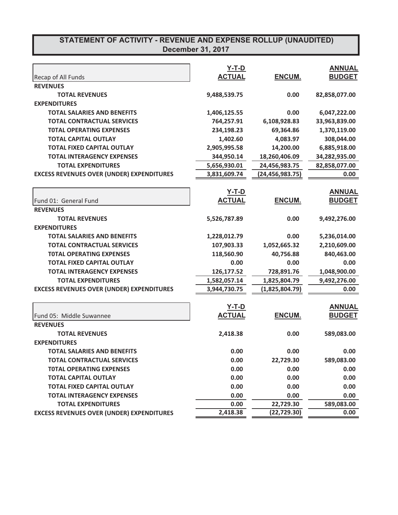|                                                  | $Y-T-D$       |                   | <b>ANNUAL</b> |
|--------------------------------------------------|---------------|-------------------|---------------|
| Recap of All Funds                               | <b>ACTUAL</b> | ENCUM.            | <b>BUDGET</b> |
| <b>REVENUES</b>                                  |               |                   |               |
| <b>TOTAL REVENUES</b>                            | 9,488,539.75  | 0.00              | 82,858,077.00 |
| <b>EXPENDITURES</b>                              |               |                   |               |
| <b>TOTAL SALARIES AND BENEFITS</b>               | 1,406,125.55  | 0.00              | 6,047,222.00  |
| <b>TOTAL CONTRACTUAL SERVICES</b>                | 764,257.91    | 6,108,928.83      | 33,963,839.00 |
| <b>TOTAL OPERATING EXPENSES</b>                  | 234,198.23    | 69,364.86         | 1,370,119.00  |
| <b>TOTAL CAPITAL OUTLAY</b>                      | 1,402.60      | 4,083.97          | 308,044.00    |
| <b>TOTAL FIXED CAPITAL OUTLAY</b>                | 2,905,995.58  | 14,200.00         | 6,885,918.00  |
| <b>TOTAL INTERAGENCY EXPENSES</b>                | 344,950.14    | 18,260,406.09     | 34,282,935.00 |
| <b>TOTAL EXPENDITURES</b>                        | 5,656,930.01  | 24,456,983.75     | 82,858,077.00 |
| <b>EXCESS REVENUES OVER (UNDER) EXPENDITURES</b> | 3,831,609.74  | (24, 456, 983.75) | 0.00          |
|                                                  | <b>Y-T-D</b>  |                   | <b>ANNUAL</b> |
| Fund 01: General Fund                            | <b>ACTUAL</b> | ENCUM.            | <b>BUDGET</b> |
| <b>REVENUES</b>                                  |               |                   |               |
| <b>TOTAL REVENUES</b>                            | 5,526,787.89  | 0.00              | 9,492,276.00  |
| <b>EXPENDITURES</b>                              |               |                   |               |
| <b>TOTAL SALARIES AND BENEFITS</b>               | 1,228,012.79  | 0.00              | 5,236,014.00  |
| <b>TOTAL CONTRACTUAL SERVICES</b>                | 107,903.33    | 1,052,665.32      | 2,210,609.00  |
| <b>TOTAL OPERATING EXPENSES</b>                  | 118,560.90    | 40,756.88         | 840,463.00    |
| <b>TOTAL FIXED CAPITAL OUTLAY</b>                | 0.00          | 0.00              |               |
|                                                  |               |                   | 0.00          |
| <b>TOTAL INTERAGENCY EXPENSES</b>                | 126,177.52    | 728,891.76        | 1,048,900.00  |
| <b>TOTAL EXPENDITURES</b>                        | 1,582,057.14  | 1,825,804.79      | 9,492,276.00  |
| <b>EXCESS REVENUES OVER (UNDER) EXPENDITURES</b> | 3,944,730.75  | (1,825,804.79)    | 0.00          |
|                                                  | <u>Y-T-D</u>  |                   | <b>ANNUAL</b> |
| Fund 05: Middle Suwannee                         | <b>ACTUAL</b> | ENCUM.            | <b>BUDGET</b> |
| <b>REVENUES</b>                                  |               |                   |               |
| <b>TOTAL REVENUES</b>                            | 2,418.38      | 0.00              | 589,083.00    |
| <b>EXPENDITURES</b>                              |               |                   |               |
| TOTAL SALARIES AND BENEFITS                      | 0.00          | 0.00              | 0.00          |
| <b>TOTAL CONTRACTUAL SERVICES</b>                | 0.00          | 22,729.30         | 589,083.00    |
| <b>TOTAL OPERATING EXPENSES</b>                  | 0.00          | 0.00              | 0.00          |
| <b>TOTAL CAPITAL OUTLAY</b>                      | 0.00          | 0.00              | 0.00          |
| <b>TOTAL FIXED CAPITAL OUTLAY</b>                | 0.00          | 0.00              | 0.00          |
| <b>TOTAL INTERAGENCY EXPENSES</b>                | 0.00          | 0.00              | 0.00          |
| <b>TOTAL EXPENDITURES</b>                        | 0.00          | 22,729.30         | 589,083.00    |
| <b>EXCESS REVENUES OVER (UNDER) EXPENDITURES</b> | 2,418.38      | (22, 729.30)      | 0.00          |
|                                                  |               |                   |               |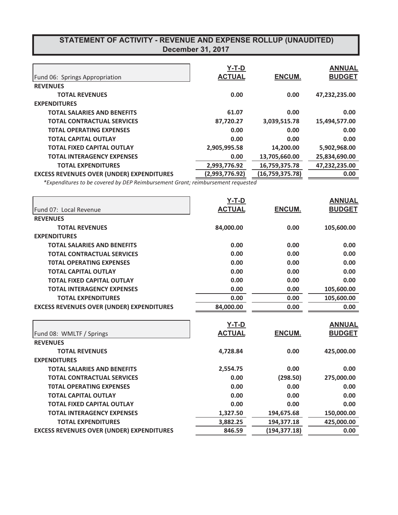| Fund 06: Springs Appropriation                   | $Y-T-D$<br><b>ACTUAL</b> | <b>ENCUM.</b>   | <b>ANNUAL</b><br><b>BUDGET</b> |
|--------------------------------------------------|--------------------------|-----------------|--------------------------------|
| <b>REVENUES</b>                                  |                          |                 |                                |
| <b>TOTAL REVENUES</b>                            | 0.00                     | 0.00            | 47.232.235.00                  |
| <b>EXPENDITURES</b>                              |                          |                 |                                |
| <b>TOTAL SALARIES AND BENEFITS</b>               | 61.07                    | 0.00            | 0.00                           |
| <b>TOTAL CONTRACTUAL SERVICES</b>                | 87,720.27                | 3,039,515.78    | 15,494,577.00                  |
| <b>TOTAL OPERATING EXPENSES</b>                  | 0.00                     | 0.00            | 0.00                           |
| <b>TOTAL CAPITAL OUTLAY</b>                      | 0.00                     | 0.00            | 0.00                           |
| <b>TOTAL FIXED CAPITAL OUTLAY</b>                | 2,905,995.58             | 14,200.00       | 5,902,968.00                   |
| <b>TOTAL INTERAGENCY EXPENSES</b>                | 0.00                     | 13,705,660.00   | 25,834,690.00                  |
| <b>TOTAL EXPENDITURES</b>                        | 2,993,776.92             | 16,759,375.78   | 47,232,235.00                  |
| <b>EXCESS REVENUES OVER (UNDER) EXPENDITURES</b> | (2,993,776.92)           | (16,759,375.78) | 0.00                           |

*\** Expenditures to be covered by DEP Reimbursement Grant; reimbursement requested

|                                                  | $Y-T-D$       |              | <b>ANNUAL</b> |
|--------------------------------------------------|---------------|--------------|---------------|
| Fund 07: Local Revenue                           | <b>ACTUAL</b> | ENCUM.       | <b>BUDGET</b> |
| <b>REVENUES</b>                                  |               |              |               |
| <b>TOTAL REVENUES</b>                            | 84,000.00     | 0.00         | 105,600.00    |
| <b>EXPENDITURES</b>                              |               |              |               |
| <b>TOTAL SALARIES AND BENEFITS</b>               | 0.00          | 0.00         | 0.00          |
| <b>TOTAL CONTRACTUAL SERVICES</b>                | 0.00          | 0.00         | 0.00          |
| <b>TOTAL OPERATING EXPENSES</b>                  | 0.00          | 0.00         | 0.00          |
| <b>TOTAL CAPITAL OUTLAY</b>                      | 0.00          | 0.00         | 0.00          |
| <b>TOTAL FIXED CAPITAL OUTLAY</b>                | 0.00          | 0.00         | 0.00          |
| <b>TOTAL INTERAGENCY EXPENSES</b>                | 0.00          | 0.00         | 105,600.00    |
| <b>TOTAL EXPENDITURES</b>                        | 0.00          | 0.00         | 105,600.00    |
| <b>EXCESS REVENUES OVER (UNDER) EXPENDITURES</b> | 84,000.00     | 0.00         | 0.00          |
|                                                  | $Y-T-D$       |              | <b>ANNUAL</b> |
| Fund 08: WMLTF / Springs                         | <b>ACTUAL</b> | ENCUM.       | <b>BUDGET</b> |
| <b>REVENUES</b>                                  |               |              |               |
| <b>TOTAL REVENUES</b>                            | 4,728.84      | 0.00         | 425,000.00    |
| <b>EXPENDITURES</b>                              |               |              |               |
| <b>TOTAL SALARIES AND BENEFITS</b>               | 2,554.75      | 0.00         | 0.00          |
| <b>TOTAL CONTRACTUAL SERVICES</b>                | 0.00          | (298.50)     | 275,000.00    |
| <b>TOTAL OPERATING EXPENSES</b>                  | 0.00          | 0.00         | 0.00          |
| <b>TOTAL CAPITAL OUTLAY</b>                      | 0.00          | 0.00         | 0.00          |
| <b>TOTAL FIXED CAPITAL OUTLAY</b>                | 0.00          | 0.00         | 0.00          |
| <b>TOTAL INTERAGENCY EXPENSES</b>                | 1,327.50      | 194,675.68   | 150,000.00    |
| <b>TOTAL EXPENDITURES</b>                        | 3,882.25      | 194,377.18   | 425,000.00    |
| <b>EXCESS REVENUES OVER (UNDER) EXPENDITURES</b> | 846.59        | (194,377.18) | 0.00          |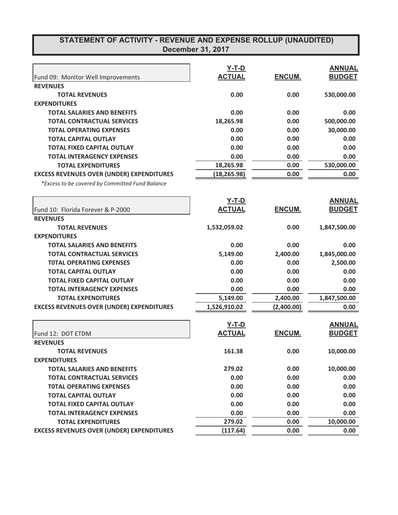|                                                  | $Y-T-D$       |               | <b>ANNUAL</b> |
|--------------------------------------------------|---------------|---------------|---------------|
| Fund 09: Monitor Well Improvements               | <b>ACTUAL</b> | ENCUM.        | <b>BUDGET</b> |
| <b>REVENUES</b>                                  |               |               |               |
| <b>TOTAL REVENUES</b>                            | 0.00          | 0.00          | 530,000.00    |
| <b>EXPENDITURES</b>                              |               |               |               |
| <b>TOTAL SALARIES AND BENEFITS</b>               | 0.00          | 0.00          | 0.00          |
| <b>TOTAL CONTRACTUAL SERVICES</b>                | 18,265.98     | 0.00          | 500,000.00    |
| <b>TOTAL OPERATING EXPENSES</b>                  | 0.00          | 0.00          | 30,000.00     |
| <b>TOTAL CAPITAL OUTLAY</b>                      | 0.00          | 0.00          | 0.00          |
| <b>TOTAL FIXED CAPITAL OUTLAY</b>                | 0.00          | 0.00          | 0.00          |
| <b>TOTAL INTERAGENCY EXPENSES</b>                | 0.00          | 0.00          | 0.00          |
| <b>TOTAL EXPENDITURES</b>                        | 18,265.98     | 0.00          | 530,000.00    |
| <b>EXCESS REVENUES OVER (UNDER) EXPENDITURES</b> | (18,265.98)   | 0.00          | 0.00          |
| *Excess to be covered by Committed Fund Balance  |               |               |               |
|                                                  | $Y-T-D$       |               | <b>ANNUAL</b> |
| Fund 10: Florida Forever & P-2000                | <b>ACTUAL</b> | ENCUM.        | <b>BUDGET</b> |
| <b>REVENUES</b>                                  |               |               |               |
| <b>TOTAL REVENUES</b>                            | 1,532,059.02  | 0.00          | 1,847,500.00  |
| <b>EXPENDITURES</b>                              |               |               |               |
| <b>TOTAL SALARIES AND BENEFITS</b>               | 0.00          | 0.00          | 0.00          |
| <b>TOTAL CONTRACTUAL SERVICES</b>                | 5,149.00      | 2,400.00      | 1,845,000.00  |
| <b>TOTAL OPERATING EXPENSES</b>                  | 0.00          | 0.00          | 2,500.00      |
| <b>TOTAL CAPITAL OUTLAY</b>                      | 0.00          | 0.00          | 0.00          |
| <b>TOTAL FIXED CAPITAL OUTLAY</b>                | 0.00          | 0.00          | 0.00          |
| <b>TOTAL INTERAGENCY EXPENSES</b>                | 0.00          | 0.00          | 0.00          |
| <b>TOTAL EXPENDITURES</b>                        | 5,149.00      | 2,400.00      | 1,847,500.00  |
| <b>EXCESS REVENUES OVER (UNDER) EXPENDITURES</b> | 1,526,910.02  | (2,400.00)    | 0.00          |
|                                                  | $Y-T-D$       |               | <b>ANNUAL</b> |
| Fund 12: DOT ETDM                                | <b>ACTUAL</b> | <b>ENCUM.</b> | <b>BUDGET</b> |
| <b>REVENUES</b>                                  |               |               |               |
| <b>TOTAL REVENUES</b>                            | 161.38        | 0.00          | 10,000.00     |
| <b>EXPENDITURES</b>                              |               |               |               |
| <b>TOTAL SALARIES AND BENEFITS</b>               | 279.02        | 0.00          | 10,000.00     |
| <b>TOTAL CONTRACTUAL SERVICES</b>                | 0.00          | 0.00          | 0.00          |
| <b>TOTAL OPERATING EXPENSES</b>                  | 0.00          | 0.00          | 0.00          |
| <b>TOTAL CAPITAL OUTLAY</b>                      | 0.00          | 0.00          | 0.00          |
| <b>TOTAL FIXED CAPITAL OUTLAY</b>                | 0.00          | 0.00          | 0.00          |
| <b>TOTAL INTERAGENCY EXPENSES</b>                | 0.00          | 0.00          | 0.00          |
| <b>TOTAL EXPENDITURES</b>                        | 279.02        | 0.00          | 10,000.00     |
| <b>EXCESS REVENUES OVER (UNDER) EXPENDITURES</b> | (117.64)      | 0.00          | 0.00          |
|                                                  |               |               |               |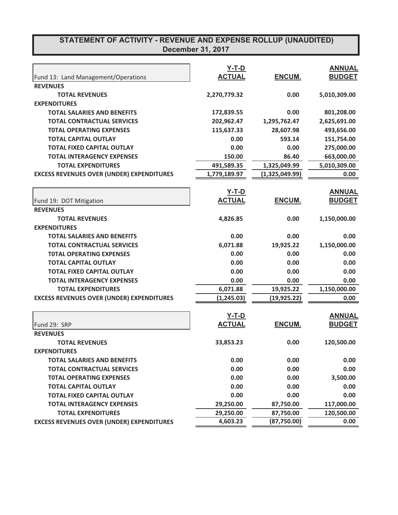|                                                  | $Y-T-D$       |                | <b>ANNUAL</b> |
|--------------------------------------------------|---------------|----------------|---------------|
| Fund 13: Land Management/Operations              | <b>ACTUAL</b> | ENCUM.         | <b>BUDGET</b> |
| <b>REVENUES</b>                                  |               |                |               |
| <b>TOTAL REVENUES</b>                            | 2,270,779.32  | 0.00           | 5,010,309.00  |
| <b>EXPENDITURES</b>                              |               |                |               |
| <b>TOTAL SALARIES AND BENEFITS</b>               | 172,839.55    | 0.00           | 801,208.00    |
| <b>TOTAL CONTRACTUAL SERVICES</b>                | 202,962.47    | 1,295,762.47   | 2,625,691.00  |
| <b>TOTAL OPERATING EXPENSES</b>                  | 115,637.33    | 28,607.98      | 493,656.00    |
| <b>TOTAL CAPITAL OUTLAY</b>                      | 0.00          | 593.14         | 151,754.00    |
| <b>TOTAL FIXED CAPITAL OUTLAY</b>                | 0.00          | 0.00           | 275,000.00    |
| <b>TOTAL INTERAGENCY EXPENSES</b>                | 150.00        | 86.40          | 663,000.00    |
| <b>TOTAL EXPENDITURES</b>                        | 491,589.35    | 1,325,049.99   | 5,010,309.00  |
| <b>EXCESS REVENUES OVER (UNDER) EXPENDITURES</b> | 1,779,189.97  | (1,325,049.99) | 0.00          |
|                                                  | $Y-T-D$       |                | <b>ANNUAL</b> |
| Fund 19: DOT Mitigation                          | <b>ACTUAL</b> | ENCUM.         | <b>BUDGET</b> |
| <b>REVENUES</b>                                  |               |                |               |
| <b>TOTAL REVENUES</b>                            | 4,826.85      | 0.00           | 1,150,000.00  |
| <b>EXPENDITURES</b>                              |               |                |               |
| <b>TOTAL SALARIES AND BENEFITS</b>               | 0.00          | 0.00           | 0.00          |
| <b>TOTAL CONTRACTUAL SERVICES</b>                | 6,071.88      | 19,925.22      |               |
|                                                  |               |                | 1,150,000.00  |
| <b>TOTAL OPERATING EXPENSES</b>                  | 0.00          | 0.00           | 0.00          |
| <b>TOTAL CAPITAL OUTLAY</b>                      | 0.00          | 0.00           | 0.00          |
| <b>TOTAL FIXED CAPITAL OUTLAY</b>                | 0.00          | 0.00           | 0.00          |
| <b>TOTAL INTERAGENCY EXPENSES</b>                | 0.00          | 0.00           | 0.00          |
| <b>TOTAL EXPENDITURES</b>                        | 6,071.88      | 19,925.22      | 1,150,000.00  |
| <b>EXCESS REVENUES OVER (UNDER) EXPENDITURES</b> | (1, 245.03)   | (19, 925.22)   | 0.00          |
|                                                  | $Y-T-D$       |                | <b>ANNUAL</b> |
| Fund 29: SRP                                     | <b>ACTUAL</b> | ENCUM.         | <b>BUDGET</b> |
| <b>REVENUES</b>                                  |               |                |               |
| <b>TOTAL REVENUES</b>                            | 33,853.23     | 0.00           | 120,500.00    |
| <b>EXPENDITURES</b>                              |               |                |               |
| <b>TOTAL SALARIES AND BENEFITS</b>               | 0.00          | 0.00           | 0.00          |
| <b>TOTAL CONTRACTUAL SERVICES</b>                | 0.00          | 0.00           | 0.00          |
| <b>TOTAL OPERATING EXPENSES</b>                  | 0.00          | 0.00           | 3,500.00      |
| <b>TOTAL CAPITAL OUTLAY</b>                      | 0.00          | 0.00           | 0.00          |
| <b>TOTAL FIXED CAPITAL OUTLAY</b>                | 0.00          | 0.00           | 0.00          |
| <b>TOTAL INTERAGENCY EXPENSES</b>                | 29,250.00     | 87,750.00      | 117,000.00    |
| <b>TOTAL EXPENDITURES</b>                        | 29,250.00     | 87,750.00      | 120,500.00    |
| <b>EXCESS REVENUES OVER (UNDER) EXPENDITURES</b> | 4,603.23      | (87,750.00)    | 0.00          |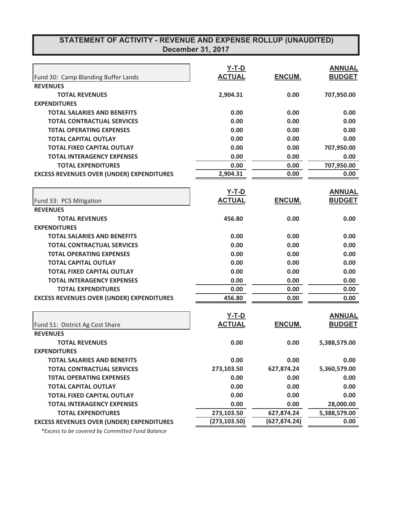|                                                  | <u>Y-T-D</u>  |               | <b>ANNUAL</b> |
|--------------------------------------------------|---------------|---------------|---------------|
| Fund 30: Camp Blanding Buffer Lands              | <b>ACTUAL</b> | ENCUM.        | <b>BUDGET</b> |
| <b>REVENUES</b>                                  |               |               |               |
| <b>TOTAL REVENUES</b>                            | 2,904.31      | 0.00          | 707,950.00    |
| <b>EXPENDITURES</b>                              |               |               |               |
| <b>TOTAL SALARIES AND BENEFITS</b>               | 0.00          | 0.00          | 0.00          |
| <b>TOTAL CONTRACTUAL SERVICES</b>                | 0.00          | 0.00          | 0.00          |
| <b>TOTAL OPERATING EXPENSES</b>                  | 0.00          | 0.00          | 0.00          |
| <b>TOTAL CAPITAL OUTLAY</b>                      | 0.00          | 0.00          | 0.00          |
| <b>TOTAL FIXED CAPITAL OUTLAY</b>                | 0.00          | 0.00          | 707,950.00    |
| <b>TOTAL INTERAGENCY EXPENSES</b>                | 0.00          | 0.00          | 0.00          |
| <b>TOTAL EXPENDITURES</b>                        | 0.00          | 0.00          | 707,950.00    |
| <b>EXCESS REVENUES OVER (UNDER) EXPENDITURES</b> | 2,904.31      | 0.00          | 0.00          |
|                                                  | $Y-T-D$       |               | <b>ANNUAL</b> |
| Fund 33: PCS Mitigation                          | <b>ACTUAL</b> | <b>ENCUM.</b> | <b>BUDGET</b> |
| <b>REVENUES</b>                                  |               |               |               |
| <b>TOTAL REVENUES</b>                            | 456.80        | 0.00          | 0.00          |
| <b>EXPENDITURES</b>                              |               |               |               |
| <b>TOTAL SALARIES AND BENEFITS</b>               | 0.00          | 0.00          | 0.00          |
| <b>TOTAL CONTRACTUAL SERVICES</b>                | 0.00          | 0.00          | 0.00          |
| <b>TOTAL OPERATING EXPENSES</b>                  | 0.00          | 0.00          | 0.00          |
| <b>TOTAL CAPITAL OUTLAY</b>                      | 0.00          | 0.00          | 0.00          |
| <b>TOTAL FIXED CAPITAL OUTLAY</b>                | 0.00          | 0.00          | 0.00          |
| <b>TOTAL INTERAGENCY EXPENSES</b>                | 0.00          | 0.00          | 0.00          |
| <b>TOTAL EXPENDITURES</b>                        | 0.00          | 0.00          | 0.00          |
| <b>EXCESS REVENUES OVER (UNDER) EXPENDITURES</b> | 456.80        | 0.00          | 0.00          |
|                                                  |               |               |               |
|                                                  | $Y-T-D$       |               | <b>ANNUAL</b> |
| Fund 51: District Ag Cost Share                  | <b>ACTUAL</b> | <b>ENCUM.</b> | <b>BUDGET</b> |
| <b>REVENUES</b>                                  |               |               |               |
| <b>TOTAL REVENUES</b>                            | 0.00          | 0.00          | 5,388,579.00  |
| <b>EXPENDITURES</b>                              |               |               |               |
| <b>TOTAL SALARIES AND BENEFITS</b>               | 0.00          | 0.00          | 0.00          |
| <b>TOTAL CONTRACTUAL SERVICES</b>                | 273,103.50    | 627,874.24    | 5,360,579.00  |
| <b>TOTAL OPERATING EXPENSES</b>                  | 0.00          | 0.00          | 0.00          |
| <b>TOTAL CAPITAL OUTLAY</b>                      | 0.00          | 0.00          | 0.00          |
| <b>TOTAL FIXED CAPITAL OUTLAY</b>                | 0.00          | 0.00          | 0.00          |
| <b>TOTAL INTERAGENCY EXPENSES</b>                | 0.00          | 0.00          | 28,000.00     |
| <b>TOTAL EXPENDITURES</b>                        | 273,103.50    | 627,874.24    | 5,388,579.00  |
| <b>EXCESS REVENUES OVER (UNDER) EXPENDITURES</b> | (273, 103.50) | (627, 874.24) | 0.00          |

 $*$ Excess to be covered by Committed Fund Balance